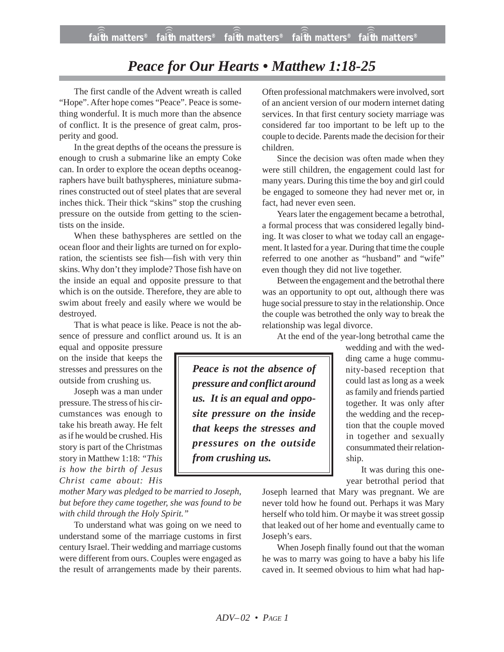## *Peace for Our Hearts • Matthew 1:18-25*

The first candle of the Advent wreath is called "Hope". After hope comes "Peace". Peace is something wonderful. It is much more than the absence of conflict. It is the presence of great calm, prosperity and good.

In the great depths of the oceans the pressure is enough to crush a submarine like an empty Coke can. In order to explore the ocean depths oceanographers have built bathyspheres, miniature submarines constructed out of steel plates that are several inches thick. Their thick "skins" stop the crushing pressure on the outside from getting to the scientists on the inside.

When these bathyspheres are settled on the ocean floor and their lights are turned on for exploration, the scientists see fish—fish with very thin skins. Why don't they implode? Those fish have on the inside an equal and opposite pressure to that which is on the outside. Therefore, they are able to swim about freely and easily where we would be destroyed.

That is what peace is like. Peace is not the absence of pressure and conflict around us. It is an

equal and opposite pressure on the inside that keeps the stresses and pressures on the outside from crushing us.

Joseph was a man under pressure. The stress of his circumstances was enough to take his breath away. He felt as if he would be crushed. His story is part of the Christmas story in Matthew 1:18: *"This is how the birth of Jesus Christ came about: His*

*mother Mary was pledged to be married to Joseph, but before they came together, she was found to be with child through the Holy Spirit."*

To understand what was going on we need to understand some of the marriage customs in first century Israel. Their wedding and marriage customs were different from ours. Couples were engaged as the result of arrangements made by their parents. Often professional matchmakers were involved, sort of an ancient version of our modern internet dating services. In that first century society marriage was considered far too important to be left up to the couple to decide. Parents made the decision for their children.

Since the decision was often made when they were still children, the engagement could last for many years. During this time the boy and girl could be engaged to someone they had never met or, in fact, had never even seen.

Years later the engagement became a betrothal, a formal process that was considered legally binding. It was closer to what we today call an engagement. It lasted for a year. During that time the couple referred to one another as "husband" and "wife" even though they did not live together.

Between the engagement and the betrothal there was an opportunity to opt out, although there was huge social pressure to stay in the relationship. Once the couple was betrothed the only way to break the relationship was legal divorce.

At the end of the year-long betrothal came the

*Peace is not the absence of pressure and conflict around us. It is an equal and opposite pressure on the inside that keeps the stresses and pressures on the outside from crushing us.*

wedding and with the wedding came a huge community-based reception that could last as long as a week as family and friends partied together. It was only after the wedding and the reception that the couple moved in together and sexually consummated their relationship.

It was during this oneyear betrothal period that

Joseph learned that Mary was pregnant. We are never told how he found out. Perhaps it was Mary herself who told him. Or maybe it was street gossip that leaked out of her home and eventually came to Joseph's ears.

When Joseph finally found out that the woman he was to marry was going to have a baby his life caved in. It seemed obvious to him what had hap-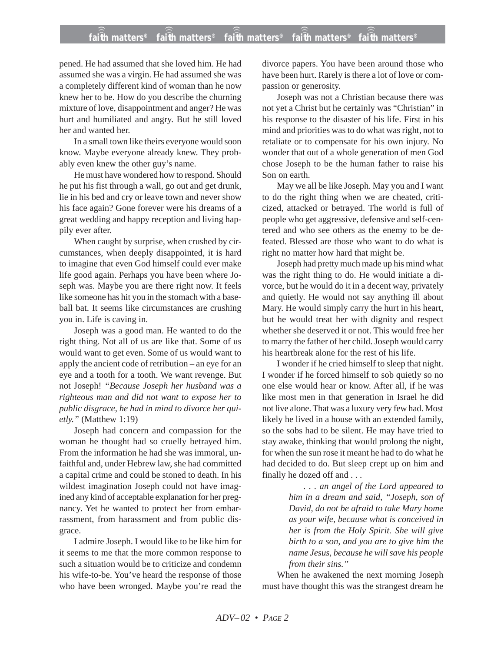## **faith matters® faith matters® faith matters® faith matters® faith matters®** ))) ))) ))) ))) )))

pened. He had assumed that she loved him. He had assumed she was a virgin. He had assumed she was a completely different kind of woman than he now knew her to be. How do you describe the churning mixture of love, disappointment and anger? He was hurt and humiliated and angry. But he still loved her and wanted her.

In a small town like theirs everyone would soon know. Maybe everyone already knew. They probably even knew the other guy's name.

He must have wondered how to respond. Should he put his fist through a wall, go out and get drunk, lie in his bed and cry or leave town and never show his face again? Gone forever were his dreams of a great wedding and happy reception and living happily ever after.

When caught by surprise, when crushed by circumstances, when deeply disappointed, it is hard to imagine that even God himself could ever make life good again. Perhaps you have been where Joseph was. Maybe you are there right now. It feels like someone has hit you in the stomach with a baseball bat. It seems like circumstances are crushing you in. Life is caving in.

Joseph was a good man. He wanted to do the right thing. Not all of us are like that. Some of us would want to get even. Some of us would want to apply the ancient code of retribution – an eye for an eye and a tooth for a tooth. We want revenge. But not Joseph! *"Because Joseph her husband was a righteous man and did not want to expose her to public disgrace, he had in mind to divorce her quietly."* (Matthew 1:19)

Joseph had concern and compassion for the woman he thought had so cruelly betrayed him. From the information he had she was immoral, unfaithful and, under Hebrew law, she had committed a capital crime and could be stoned to death. In his wildest imagination Joseph could not have imagined any kind of acceptable explanation for her pregnancy. Yet he wanted to protect her from embarrassment, from harassment and from public disgrace.

I admire Joseph. I would like to be like him for it seems to me that the more common response to such a situation would be to criticize and condemn his wife-to-be. You've heard the response of those who have been wronged. Maybe you're read the divorce papers. You have been around those who have been hurt. Rarely is there a lot of love or compassion or generosity.

Joseph was not a Christian because there was not yet a Christ but he certainly was "Christian" in his response to the disaster of his life. First in his mind and priorities was to do what was right, not to retaliate or to compensate for his own injury. No wonder that out of a whole generation of men God chose Joseph to be the human father to raise his Son on earth.

May we all be like Joseph. May you and I want to do the right thing when we are cheated, criticized, attacked or betrayed. The world is full of people who get aggressive, defensive and self-centered and who see others as the enemy to be defeated. Blessed are those who want to do what is right no matter how hard that might be.

Joseph had pretty much made up his mind what was the right thing to do. He would initiate a divorce, but he would do it in a decent way, privately and quietly. He would not say anything ill about Mary. He would simply carry the hurt in his heart, but he would treat her with dignity and respect whether she deserved it or not. This would free her to marry the father of her child. Joseph would carry his heartbreak alone for the rest of his life.

I wonder if he cried himself to sleep that night. I wonder if he forced himself to sob quietly so no one else would hear or know. After all, if he was like most men in that generation in Israel he did not live alone. That was a luxury very few had. Most likely he lived in a house with an extended family, so the sobs had to be silent. He may have tried to stay awake, thinking that would prolong the night, for when the sun rose it meant he had to do what he had decided to do. But sleep crept up on him and finally he dozed off and . . .

> *. . . an angel of the Lord appeared to him in a dream and said, "Joseph, son of David, do not be afraid to take Mary home as your wife, because what is conceived in her is from the Holy Spirit. She will give birth to a son, and you are to give him the name Jesus, because he will save his people from their sins."*

When he awakened the next morning Joseph must have thought this was the strangest dream he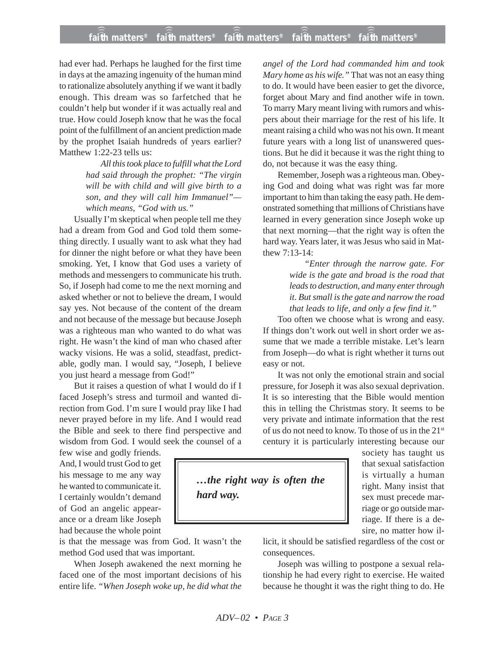## **faith matters® faith matters® faith matters® faith matters® faith matters®** ))) ))) ))) ))) )))

had ever had. Perhaps he laughed for the first time in days at the amazing ingenuity of the human mind to rationalize absolutely anything if we want it badly enough. This dream was so farfetched that he couldn't help but wonder if it was actually real and true. How could Joseph know that he was the focal point of the fulfillment of an ancient prediction made by the prophet Isaiah hundreds of years earlier? Matthew 1:22-23 tells us:

> *All this took place to fulfill what the Lord had said through the prophet: "The virgin will be with child and will give birth to a son, and they will call him Immanuel" which means, "God with us."*

Usually I'm skeptical when people tell me they had a dream from God and God told them something directly. I usually want to ask what they had for dinner the night before or what they have been smoking. Yet, I know that God uses a variety of methods and messengers to communicate his truth. So, if Joseph had come to me the next morning and asked whether or not to believe the dream, I would say yes. Not because of the content of the dream and not because of the message but because Joseph was a righteous man who wanted to do what was right. He wasn't the kind of man who chased after wacky visions. He was a solid, steadfast, predictable, godly man. I would say, "Joseph, I believe you just heard a message from God!"

But it raises a question of what I would do if I faced Joseph's stress and turmoil and wanted direction from God. I'm sure I would pray like I had never prayed before in my life. And I would read the Bible and seek to there find perspective and wisdom from God. I would seek the counsel of a

few wise and godly friends. And, I would trust God to get his message to me any way he wanted to communicate it. I certainly wouldn't demand of God an angelic appearance or a dream like Joseph had because the whole point

is that the message was from God. It wasn't the method God used that was important.

When Joseph awakened the next morning he faced one of the most important decisions of his entire life. *"When Joseph woke up, he did what the* *angel of the Lord had commanded him and took Mary home as his wife."* That was not an easy thing to do. It would have been easier to get the divorce, forget about Mary and find another wife in town. To marry Mary meant living with rumors and whispers about their marriage for the rest of his life. It meant raising a child who was not his own. It meant future years with a long list of unanswered questions. But he did it because it was the right thing to do, not because it was the easy thing.

Remember, Joseph was a righteous man. Obeying God and doing what was right was far more important to him than taking the easy path. He demonstrated something that millions of Christians have learned in every generation since Joseph woke up that next morning—that the right way is often the hard way. Years later, it was Jesus who said in Matthew 7:13-14:

> *"Enter through the narrow gate. For wide is the gate and broad is the road that leads to destruction, and many enter through it. But small is the gate and narrow the road that leads to life, and only a few find it."*

Too often we choose what is wrong and easy. If things don't work out well in short order we assume that we made a terrible mistake. Let's learn from Joseph—do what is right whether it turns out easy or not.

It was not only the emotional strain and social pressure, for Joseph it was also sexual deprivation. It is so interesting that the Bible would mention this in telling the Christmas story. It seems to be very private and intimate information that the rest of us do not need to know. To those of us in the 21st century it is particularly interesting because our

*…the right way is often the hard way.*

society has taught us that sexual satisfaction is virtually a human right. Many insist that sex must precede marriage or go outside marriage. If there is a desire, no matter how il-

licit, it should be satisfied regardless of the cost or consequences.

Joseph was willing to postpone a sexual relationship he had every right to exercise. He waited because he thought it was the right thing to do. He